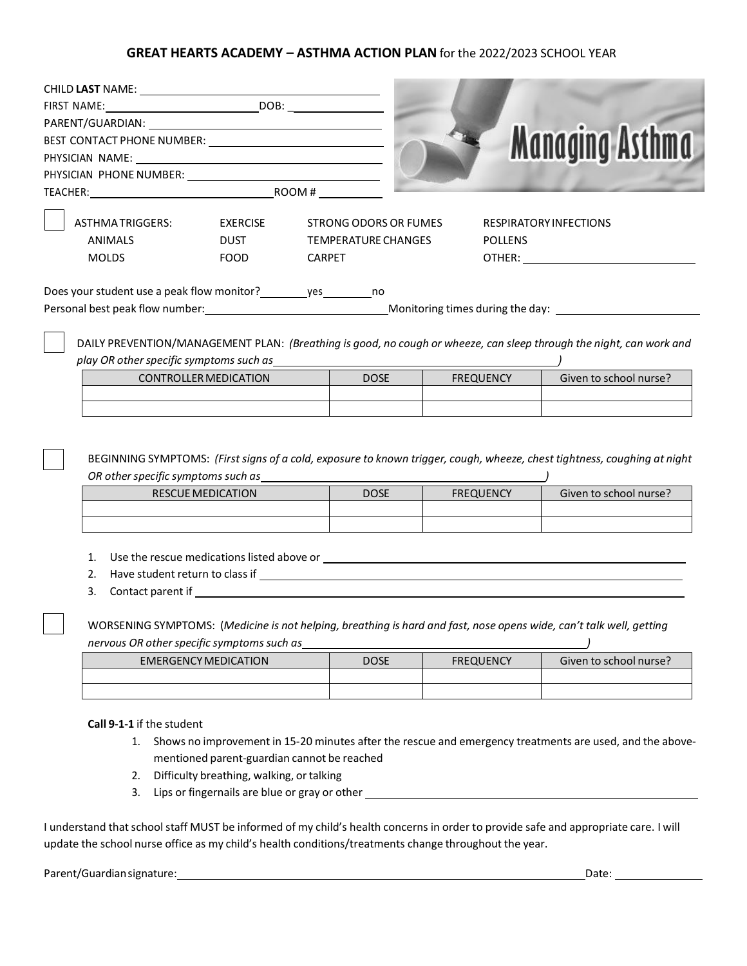## **GREAT HEARTS ACADEMY – ASTHMA ACTION PLAN** for the 2022/2023 SCHOOL YEAR

| CHILD LAST NAME: University of the contract of the contract of the contract of the contract of the contract of the contract of the contract of the contract of the contract of the contract of the contract of the contract of |                             |                            |                       |                                                                                                                                                                                                                                     |                                                                                                                                                                                                                                |  |
|--------------------------------------------------------------------------------------------------------------------------------------------------------------------------------------------------------------------------------|-----------------------------|----------------------------|-----------------------|-------------------------------------------------------------------------------------------------------------------------------------------------------------------------------------------------------------------------------------|--------------------------------------------------------------------------------------------------------------------------------------------------------------------------------------------------------------------------------|--|
|                                                                                                                                                                                                                                |                             |                            |                       |                                                                                                                                                                                                                                     |                                                                                                                                                                                                                                |  |
|                                                                                                                                                                                                                                |                             |                            |                       |                                                                                                                                                                                                                                     |                                                                                                                                                                                                                                |  |
| BEST CONTACT PHONE NUMBER: NAMEL AND REST CONTACT PHONE NUMBER:                                                                                                                                                                |                             |                            |                       |                                                                                                                                                                                                                                     | <b>Managing Asthma</b>                                                                                                                                                                                                         |  |
|                                                                                                                                                                                                                                |                             |                            |                       |                                                                                                                                                                                                                                     |                                                                                                                                                                                                                                |  |
|                                                                                                                                                                                                                                |                             |                            |                       |                                                                                                                                                                                                                                     |                                                                                                                                                                                                                                |  |
|                                                                                                                                                                                                                                |                             |                            |                       |                                                                                                                                                                                                                                     |                                                                                                                                                                                                                                |  |
| ASTHMATRIGGERS:                                                                                                                                                                                                                | EXERCISE                    |                            | STRONG ODORS OR FUMES |                                                                                                                                                                                                                                     | <b>RESPIRATORY INFECTIONS</b>                                                                                                                                                                                                  |  |
| <b>ANIMALS</b>                                                                                                                                                                                                                 | <b>DUST</b>                 | <b>TEMPERATURE CHANGES</b> |                       | <b>POLLENS</b>                                                                                                                                                                                                                      |                                                                                                                                                                                                                                |  |
| <b>MOLDS</b>                                                                                                                                                                                                                   | FOOD                        | <b>CARPET</b>              |                       |                                                                                                                                                                                                                                     | OTHER: and the state of the state of the state of the state of the state of the state of the state of the state of the state of the state of the state of the state of the state of the state of the state of the state of the |  |
| Does your student use a peak flow monitor? _________ yes _________ no                                                                                                                                                          |                             |                            |                       |                                                                                                                                                                                                                                     |                                                                                                                                                                                                                                |  |
|                                                                                                                                                                                                                                |                             |                            |                       |                                                                                                                                                                                                                                     |                                                                                                                                                                                                                                |  |
|                                                                                                                                                                                                                                |                             |                            |                       |                                                                                                                                                                                                                                     |                                                                                                                                                                                                                                |  |
|                                                                                                                                                                                                                                |                             |                            |                       |                                                                                                                                                                                                                                     | DAILY PREVENTION/MANAGEMENT PLAN: (Breathing is good, no cough or wheeze, can sleep through the night, can work and                                                                                                            |  |
| play OR other specific symptoms such as                                                                                                                                                                                        |                             |                            |                       |                                                                                                                                                                                                                                     |                                                                                                                                                                                                                                |  |
| <b>CONTROLLER MEDICATION</b>                                                                                                                                                                                                   |                             |                            | <b>DOSE</b>           | <b>FREQUENCY</b>                                                                                                                                                                                                                    | Given to school nurse?                                                                                                                                                                                                         |  |
|                                                                                                                                                                                                                                |                             |                            |                       |                                                                                                                                                                                                                                     |                                                                                                                                                                                                                                |  |
|                                                                                                                                                                                                                                |                             |                            |                       |                                                                                                                                                                                                                                     |                                                                                                                                                                                                                                |  |
|                                                                                                                                                                                                                                |                             |                            |                       |                                                                                                                                                                                                                                     |                                                                                                                                                                                                                                |  |
|                                                                                                                                                                                                                                |                             |                            |                       |                                                                                                                                                                                                                                     |                                                                                                                                                                                                                                |  |
|                                                                                                                                                                                                                                |                             |                            |                       |                                                                                                                                                                                                                                     | BEGINNING SYMPTOMS: (First signs of a cold, exposure to known trigger, cough, wheeze, chest tightness, coughing at night                                                                                                       |  |
|                                                                                                                                                                                                                                |                             |                            |                       |                                                                                                                                                                                                                                     |                                                                                                                                                                                                                                |  |
|                                                                                                                                                                                                                                | <b>RESCUE MEDICATION</b>    |                            | <b>DOSE</b>           | <b>FREQUENCY</b>                                                                                                                                                                                                                    | Given to school nurse?                                                                                                                                                                                                         |  |
|                                                                                                                                                                                                                                |                             |                            |                       |                                                                                                                                                                                                                                     |                                                                                                                                                                                                                                |  |
|                                                                                                                                                                                                                                |                             |                            |                       |                                                                                                                                                                                                                                     |                                                                                                                                                                                                                                |  |
|                                                                                                                                                                                                                                |                             |                            |                       |                                                                                                                                                                                                                                     |                                                                                                                                                                                                                                |  |
|                                                                                                                                                                                                                                |                             |                            |                       |                                                                                                                                                                                                                                     |                                                                                                                                                                                                                                |  |
|                                                                                                                                                                                                                                |                             |                            |                       |                                                                                                                                                                                                                                     |                                                                                                                                                                                                                                |  |
| 3.                                                                                                                                                                                                                             |                             |                            |                       | <b>Contact parent if</b> the contact of the contact part of the contact parent if the contact parent if the contact of the contact of the contact of the contact of the contact of the contact of the contact of the contact of the |                                                                                                                                                                                                                                |  |
|                                                                                                                                                                                                                                |                             |                            |                       |                                                                                                                                                                                                                                     |                                                                                                                                                                                                                                |  |
|                                                                                                                                                                                                                                |                             |                            |                       |                                                                                                                                                                                                                                     | WORSENING SYMPTOMS: (Medicine is not helping, breathing is hard and fast, nose opens wide, can't talk well, getting                                                                                                            |  |
| nervous OR other specific symptoms such as                                                                                                                                                                                     |                             |                            |                       |                                                                                                                                                                                                                                     |                                                                                                                                                                                                                                |  |
|                                                                                                                                                                                                                                | <b>EMERGENCY MEDICATION</b> |                            | <b>DOSE</b>           | <b>FREQUENCY</b>                                                                                                                                                                                                                    | Given to school nurse?                                                                                                                                                                                                         |  |
|                                                                                                                                                                                                                                |                             |                            |                       |                                                                                                                                                                                                                                     |                                                                                                                                                                                                                                |  |
|                                                                                                                                                                                                                                |                             |                            |                       |                                                                                                                                                                                                                                     |                                                                                                                                                                                                                                |  |
|                                                                                                                                                                                                                                |                             |                            |                       |                                                                                                                                                                                                                                     |                                                                                                                                                                                                                                |  |
| Call 9-1-1 if the student                                                                                                                                                                                                      |                             |                            |                       |                                                                                                                                                                                                                                     |                                                                                                                                                                                                                                |  |

- 1. Shows no improvement in 15-20 minutes after the rescue and emergency treatments are used, and the abovementioned parent-guardian cannot be reached
- 2. Difficulty breathing, walking, or talking
- 3. Lips or fingernails are blue or gray or other \_\_\_\_\_\_\_\_\_\_\_\_\_\_\_\_\_\_\_\_\_\_\_\_\_\_\_\_\_\_\_\_

I understand that school staff MUST be informed of my child's health concerns in order to provide safe and appropriate care. I will update the school nurse office as my child's health conditions/treatments change throughout the year.